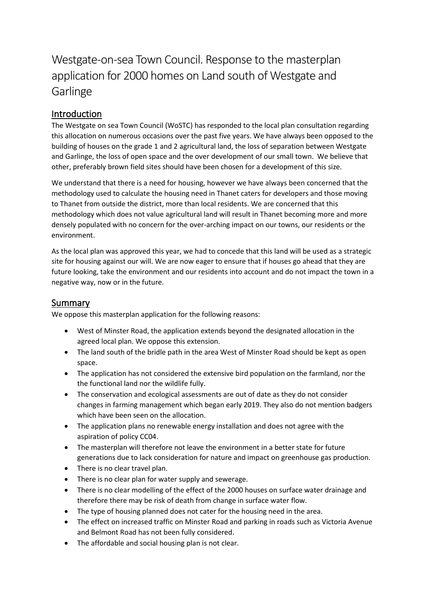# Westgate-on-sea Town Council. Response to the masterplan application for 2000 homes on Land south of Westgate and **Garlinge**

# Introduction

The Westgate on sea Town Council (WoSTC) has responded to the local plan consultation regarding this allocation on numerous occasions over the past five years. We have always been opposed to the building of houses on the grade 1 and 2 agricultural land, the loss of separation between Westgate and Garlinge, the loss of open space and the over development of our small town. We believe that other, preferably brown field sites should have been chosen for a development of this size.

We understand that there is a need for housing, however we have always been concerned that the methodology used to calculate the housing need in Thanet caters for developers and those moving to Thanet from outside the district, more than local residents. We are concerned that this methodology which does not value agricultural land will result in Thanet becoming more and more densely populated with no concern for the over-arching impact on our towns, our residents or the environment.

As the local plan was approved this year, we had to concede that this land will be used as a strategic site for housing against our will. We are now eager to ensure that if houses go ahead that they are future looking, take the environment and our residents into account and do not impact the town in a negative way, now or in the future.

# Summary

We oppose this masterplan application for the following reasons:

- West of Minster Road, the application extends beyond the designated allocation in the agreed local plan. We oppose this extension.
- The land south of the bridle path in the area West of Minster Road should be kept as open space.
- The application has not considered the extensive bird population on the farmland, nor the the functional land nor the wildlife fully.
- The conservation and ecological assessments are out of date as they do not consider changes in farming management which began early 2019. They also do not mention badgers which have been seen on the allocation.
- The application plans no renewable energy installation and does not agree with the aspiration of policy CC04.
- The masterplan will therefore not leave the environment in a better state for future generations due to lack consideration for nature and impact on greenhouse gas production.
- There is no clear travel plan.
- There is no clear plan for water supply and sewerage.
- There is no clear modelling of the effect of the 2000 houses on surface water drainage and therefore there may be risk of death from change in surface water flow.
- The type of housing planned does not cater for the housing need in the area.
- The effect on increased traffic on Minster Road and parking in roads such as Victoria Avenue and Belmont Road has not been fully considered.
- The affordable and social housing plan is not clear.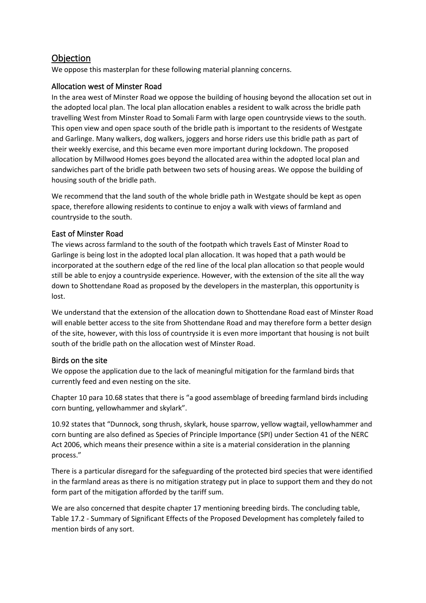# **Objection**

We oppose this masterplan for these following material planning concerns.

# Allocation west of Minster Road

In the area west of Minster Road we oppose the building of housing beyond the allocation set out in the adopted local plan. The local plan allocation enables a resident to walk across the bridle path travelling West from Minster Road to Somali Farm with large open countryside views to the south. This open view and open space south of the bridle path is important to the residents of Westgate and Garlinge. Many walkers, dog walkers, joggers and horse riders use this bridle path as part of their weekly exercise, and this became even more important during lockdown. The proposed allocation by Millwood Homes goes beyond the allocated area within the adopted local plan and sandwiches part of the bridle path between two sets of housing areas. We oppose the building of housing south of the bridle path.

We recommend that the land south of the whole bridle path in Westgate should be kept as open space, therefore allowing residents to continue to enjoy a walk with views of farmland and countryside to the south.

# East of Minster Road

The views across farmland to the south of the footpath which travels East of Minster Road to Garlinge is being lost in the adopted local plan allocation. It was hoped that a path would be incorporated at the southern edge of the red line of the local plan allocation so that people would still be able to enjoy a countryside experience. However, with the extension of the site all the way down to Shottendane Road as proposed by the developers in the masterplan, this opportunity is lost.

We understand that the extension of the allocation down to Shottendane Road east of Minster Road will enable better access to the site from Shottendane Road and may therefore form a better design of the site, however, with this loss of countryside it is even more important that housing is not built south of the bridle path on the allocation west of Minster Road.

# Birds on the site

We oppose the application due to the lack of meaningful mitigation for the farmland birds that currently feed and even nesting on the site.

Chapter 10 para 10.68 states that there is "a good assemblage of breeding farmland birds including corn bunting, yellowhammer and skylark".

10.92 states that "Dunnock, song thrush, skylark, house sparrow, yellow wagtail, yellowhammer and corn bunting are also defined as Species of Principle Importance (SPI) under Section 41 of the NERC Act 2006, which means their presence within a site is a material consideration in the planning process."

There is a particular disregard for the safeguarding of the protected bird species that were identified in the farmland areas as there is no mitigation strategy put in place to support them and they do not form part of the mitigation afforded by the tariff sum.

We are also concerned that despite chapter 17 mentioning breeding birds. The concluding table, Table 17.2 - Summary of Significant Effects of the Proposed Development has completely failed to mention birds of any sort.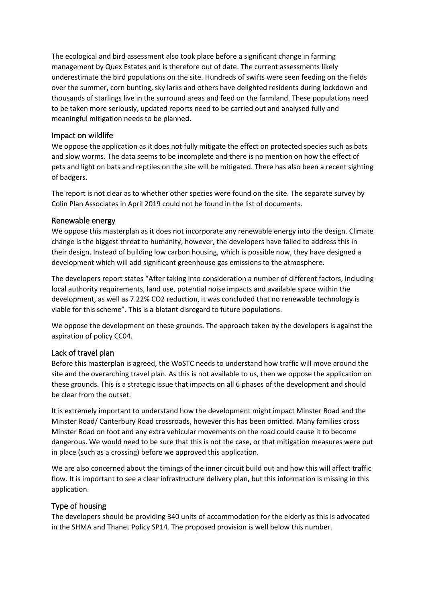The ecological and bird assessment also took place before a significant change in farming management by Quex Estates and is therefore out of date. The current assessments likely underestimate the bird populations on the site. Hundreds of swifts were seen feeding on the fields over the summer, corn bunting, sky larks and others have delighted residents during lockdown and thousands of starlings live in the surround areas and feed on the farmland. These populations need to be taken more seriously, updated reports need to be carried out and analysed fully and meaningful mitigation needs to be planned.

#### Impact on wildlife

We oppose the application as it does not fully mitigate the effect on protected species such as bats and slow worms. The data seems to be incomplete and there is no mention on how the effect of pets and light on bats and reptiles on the site will be mitigated. There has also been a recent sighting of badgers.

The report is not clear as to whether other species were found on the site. The separate survey by Colin Plan Associates in April 2019 could not be found in the list of documents.

## Renewable energy

We oppose this masterplan as it does not incorporate any renewable energy into the design. Climate change is the biggest threat to humanity; however, the developers have failed to address this in their design. Instead of building low carbon housing, which is possible now, they have designed a development which will add significant greenhouse gas emissions to the atmosphere.

The developers report states "After taking into consideration a number of different factors, including local authority requirements, land use, potential noise impacts and available space within the development, as well as 7.22% CO2 reduction, it was concluded that no renewable technology is viable for this scheme". This is a blatant disregard to future populations.

We oppose the development on these grounds. The approach taken by the developers is against the aspiration of policy CC04.

#### Lack of travel plan

Before this masterplan is agreed, the WoSTC needs to understand how traffic will move around the site and the overarching travel plan. As this is not available to us, then we oppose the application on these grounds. This is a strategic issue that impacts on all 6 phases of the development and should be clear from the outset.

It is extremely important to understand how the development might impact Minster Road and the Minster Road/ Canterbury Road crossroads, however this has been omitted. Many families cross Minster Road on foot and any extra vehicular movements on the road could cause it to become dangerous. We would need to be sure that this is not the case, or that mitigation measures were put in place (such as a crossing) before we approved this application.

We are also concerned about the timings of the inner circuit build out and how this will affect traffic flow. It is important to see a clear infrastructure delivery plan, but this information is missing in this application.

# Type of housing

The developers should be providing 340 units of accommodation for the elderly as this is advocated in the SHMA and Thanet Policy SP14. The proposed provision is well below this number.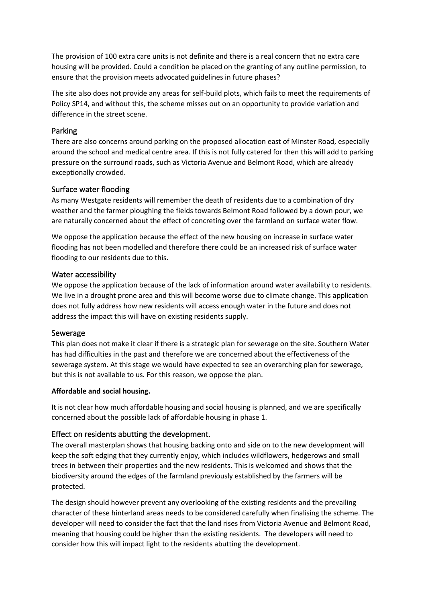The provision of 100 extra care units is not definite and there is a real concern that no extra care housing will be provided. Could a condition be placed on the granting of any outline permission, to ensure that the provision meets advocated guidelines in future phases?

The site also does not provide any areas for self-build plots, which fails to meet the requirements of Policy SP14, and without this, the scheme misses out on an opportunity to provide variation and difference in the street scene.

#### Parking

There are also concerns around parking on the proposed allocation east of Minster Road, especially around the school and medical centre area. If this is not fully catered for then this will add to parking pressure on the surround roads, such as Victoria Avenue and Belmont Road, which are already exceptionally crowded.

#### Surface water flooding

As many Westgate residents will remember the death of residents due to a combination of dry weather and the farmer ploughing the fields towards Belmont Road followed by a down pour, we are naturally concerned about the effect of concreting over the farmland on surface water flow.

We oppose the application because the effect of the new housing on increase in surface water flooding has not been modelled and therefore there could be an increased risk of surface water flooding to our residents due to this.

#### Water accessibility

We oppose the application because of the lack of information around water availability to residents. We live in a drought prone area and this will become worse due to climate change. This application does not fully address how new residents will access enough water in the future and does not address the impact this will have on existing residents supply.

#### Sewerage

This plan does not make it clear if there is a strategic plan for sewerage on the site. Southern Water has had difficulties in the past and therefore we are concerned about the effectiveness of the sewerage system. At this stage we would have expected to see an overarching plan for sewerage, but this is not available to us. For this reason, we oppose the plan.

#### **Affordable and social housing.**

It is not clear how much affordable housing and social housing is planned, and we are specifically concerned about the possible lack of affordable housing in phase 1.

#### Effect on residents abutting the development.

The overall masterplan shows that housing backing onto and side on to the new development will keep the soft edging that they currently enjoy, which includes wildflowers, hedgerows and small trees in between their properties and the new residents. This is welcomed and shows that the biodiversity around the edges of the farmland previously established by the farmers will be protected.

The design should however prevent any overlooking of the existing residents and the prevailing character of these hinterland areas needs to be considered carefully when finalising the scheme. The developer will need to consider the fact that the land rises from Victoria Avenue and Belmont Road, meaning that housing could be higher than the existing residents. The developers will need to consider how this will impact light to the residents abutting the development.